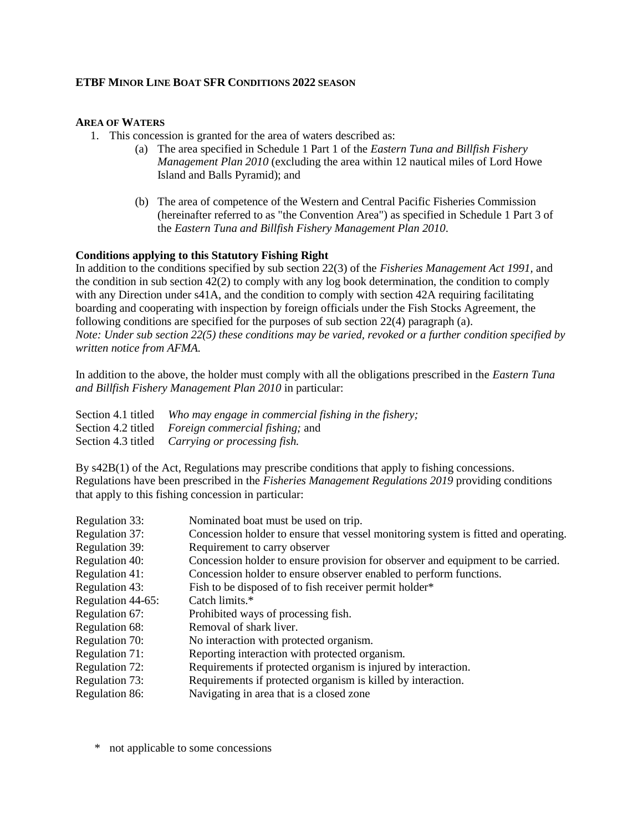## **ETBF MINOR LINE BOAT SFR CONDITIONS 2022 SEASON**

## **AREA OF WATERS**

- 1. This concession is granted for the area of waters described as:
	- (a) The area specified in Schedule 1 Part 1 of the *Eastern Tuna and Billfish Fishery Management Plan 2010* (excluding the area within 12 nautical miles of Lord Howe Island and Balls Pyramid); and
	- (b) The area of competence of the Western and Central Pacific Fisheries Commission (hereinafter referred to as "the Convention Area") as specified in Schedule 1 Part 3 of the *Eastern Tuna and Billfish Fishery Management Plan 2010*.

## **Conditions applying to this Statutory Fishing Right**

In addition to the conditions specified by sub section 22(3) of the *Fisheries Management Act 1991,* and the condition in sub section 42(2) to comply with any log book determination, the condition to comply with any Direction under s41A, and the condition to comply with section 42A requiring facilitating boarding and cooperating with inspection by foreign officials under the Fish Stocks Agreement, the following conditions are specified for the purposes of sub section 22(4) paragraph (a). *Note: Under sub section 22(5) these conditions may be varied, revoked or a further condition specified by written notice from AFMA.*

In addition to the above, the holder must comply with all the obligations prescribed in the *Eastern Tuna and Billfish Fishery Management Plan 2010* in particular:

| Section 4.1 titled Who may engage in commercial fishing in the fishery; |
|-------------------------------------------------------------------------|
| Section 4.2 titled Foreign commercial fishing; and                      |
| Section 4.3 titled <i>Carrying or processing fish.</i>                  |

By s42B(1) of the Act, Regulations may prescribe conditions that apply to fishing concessions. Regulations have been prescribed in the *Fisheries Management Regulations 2019* providing conditions that apply to this fishing concession in particular:

| <b>Regulation 33:</b> | Nominated boat must be used on trip.                                               |
|-----------------------|------------------------------------------------------------------------------------|
| Regulation 37:        | Concession holder to ensure that vessel monitoring system is fitted and operating. |
| Regulation 39:        | Requirement to carry observer                                                      |
| Regulation 40:        | Concession holder to ensure provision for observer and equipment to be carried.    |
| Regulation 41:        | Concession holder to ensure observer enabled to perform functions.                 |
| Regulation 43:        | Fish to be disposed of to fish receiver permit holder <sup>*</sup>                 |
| Regulation 44-65:     | Catch limits.*                                                                     |
| Regulation 67:        | Prohibited ways of processing fish.                                                |
| Regulation 68:        | Removal of shark liver.                                                            |
| Regulation 70:        | No interaction with protected organism.                                            |
| Regulation 71:        | Reporting interaction with protected organism.                                     |
| Regulation 72:        | Requirements if protected organism is injured by interaction.                      |
| Regulation 73:        | Requirements if protected organism is killed by interaction.                       |
| Regulation 86:        | Navigating in area that is a closed zone                                           |

\* not applicable to some concessions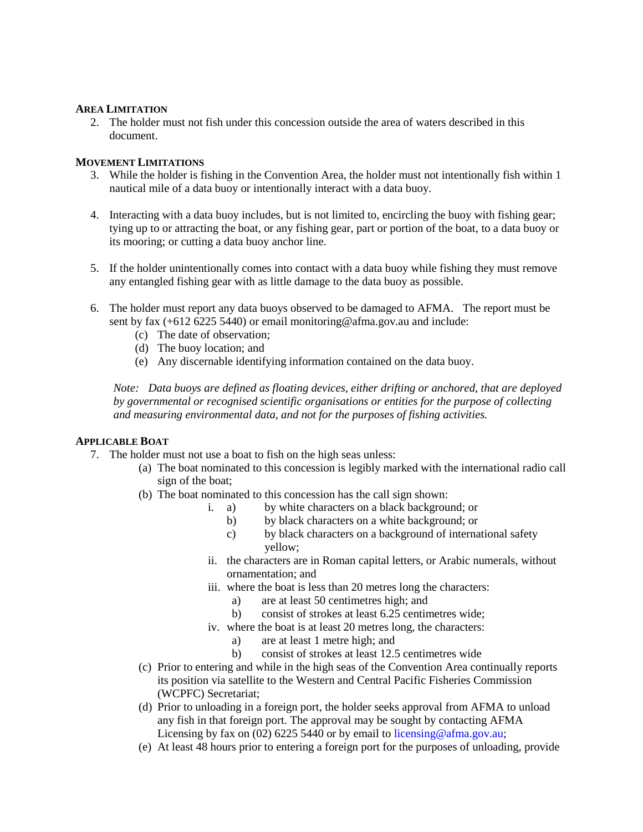## **AREA LIMITATION**

2. The holder must not fish under this concession outside the area of waters described in this document.

## **MOVEMENT LIMITATIONS**

- 3. While the holder is fishing in the Convention Area, the holder must not intentionally fish within 1 nautical mile of a data buoy or intentionally interact with a data buoy.
- 4. Interacting with a data buoy includes, but is not limited to, encircling the buoy with fishing gear; tying up to or attracting the boat, or any fishing gear, part or portion of the boat, to a data buoy or its mooring; or cutting a data buoy anchor line.
- 5. If the holder unintentionally comes into contact with a data buoy while fishing they must remove any entangled fishing gear with as little damage to the data buoy as possible.
- 6. The holder must report any data buoys observed to be damaged to AFMA. The report must be sent by fax (+612 6225 5440) or email monitoring@afma.gov.au and include:
	- (c) The date of observation;
	- (d) The buoy location; and
	- (e) Any discernable identifying information contained on the data buoy.

*Note: Data buoys are defined as floating devices, either drifting or anchored, that are deployed by governmental or recognised scientific organisations or entities for the purpose of collecting and measuring environmental data, and not for the purposes of fishing activities.* 

## **APPLICABLE BOAT**

- 7. The holder must not use a boat to fish on the high seas unless:
	- (a) The boat nominated to this concession is legibly marked with the international radio call sign of the boat;
	- (b) The boat nominated to this concession has the call sign shown:
		- i. a) by white characters on a black background; or
			- b) by black characters on a white background; or
			- c) by black characters on a background of international safety yellow;
		- ii. the characters are in Roman capital letters, or Arabic numerals, without ornamentation; and
		- iii. where the boat is less than 20 metres long the characters:
			- a) are at least 50 centimetres high; and
			- b) consist of strokes at least 6.25 centimetres wide;
		- iv. where the boat is at least 20 metres long, the characters:
			- a) are at least 1 metre high; and
			- b) consist of strokes at least 12.5 centimetres wide
	- (c) Prior to entering and while in the high seas of the Convention Area continually reports its position via satellite to the Western and Central Pacific Fisheries Commission (WCPFC) Secretariat;
	- (d) Prior to unloading in a foreign port, the holder seeks approval from AFMA to unload any fish in that foreign port. The approval may be sought by contacting AFMA Licensing by fax on (02) 6225 5440 or by email to licensing@afma.gov.au;
	- (e) At least 48 hours prior to entering a foreign port for the purposes of unloading, provide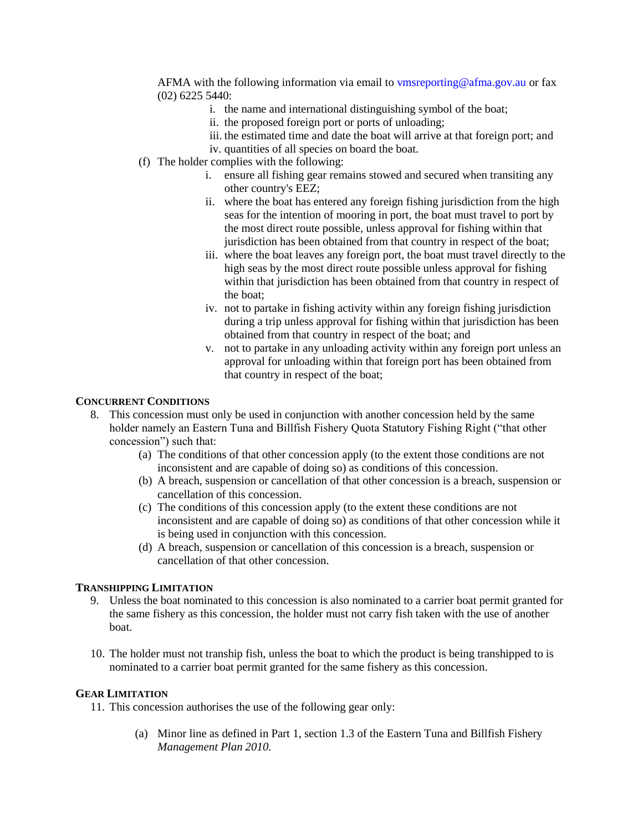AFMA with the following information via email to vmsreporting @afma.gov.au or fax (02) 6225 5440:

- i. the name and international distinguishing symbol of the boat;
- ii. the proposed foreign port or ports of unloading;
- iii. the estimated time and date the boat will arrive at that foreign port; and
- iv. quantities of all species on board the boat.
- (f) The holder complies with the following:
	- i. ensure all fishing gear remains stowed and secured when transiting any other country's EEZ;
	- ii. where the boat has entered any foreign fishing jurisdiction from the high seas for the intention of mooring in port, the boat must travel to port by the most direct route possible, unless approval for fishing within that jurisdiction has been obtained from that country in respect of the boat;
	- iii. where the boat leaves any foreign port, the boat must travel directly to the high seas by the most direct route possible unless approval for fishing within that jurisdiction has been obtained from that country in respect of the boat;
	- iv. not to partake in fishing activity within any foreign fishing jurisdiction during a trip unless approval for fishing within that jurisdiction has been obtained from that country in respect of the boat; and
	- v. not to partake in any unloading activity within any foreign port unless an approval for unloading within that foreign port has been obtained from that country in respect of the boat;

### **CONCURRENT CONDITIONS**

- 8. This concession must only be used in conjunction with another concession held by the same holder namely an Eastern Tuna and Billfish Fishery Quota Statutory Fishing Right ("that other concession") such that:
	- (a) The conditions of that other concession apply (to the extent those conditions are not inconsistent and are capable of doing so) as conditions of this concession.
	- (b) A breach, suspension or cancellation of that other concession is a breach, suspension or cancellation of this concession.
	- (c) The conditions of this concession apply (to the extent these conditions are not inconsistent and are capable of doing so) as conditions of that other concession while it is being used in conjunction with this concession.
	- (d) A breach, suspension or cancellation of this concession is a breach, suspension or cancellation of that other concession.

### **TRANSHIPPING LIMITATION**

- 9. Unless the boat nominated to this concession is also nominated to a carrier boat permit granted for the same fishery as this concession, the holder must not carry fish taken with the use of another boat.
- 10. The holder must not tranship fish, unless the boat to which the product is being transhipped to is nominated to a carrier boat permit granted for the same fishery as this concession.

## **GEAR LIMITATION**

11. This concession authorises the use of the following gear only:

(a) Minor line as defined in Part 1, section 1.3 of the Eastern Tuna and Billfish Fishery *Management Plan 2010.*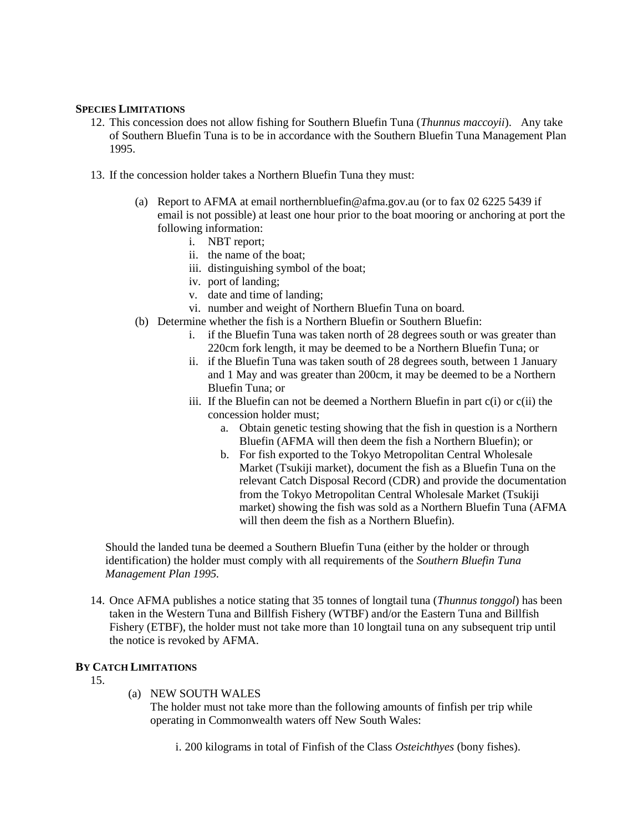## **SPECIES LIMITATIONS**

- 12. This concession does not allow fishing for Southern Bluefin Tuna (*Thunnus maccoyii*). Any take of Southern Bluefin Tuna is to be in accordance with the Southern Bluefin Tuna Management Plan 1995.
- 13. If the concession holder takes a Northern Bluefin Tuna they must:
	- (a) Report to AFMA at email northernbluefin@afma.gov.au (or to fax 02 6225 5439 if email is not possible) at least one hour prior to the boat mooring or anchoring at port the following information:
		- i. NBT report;
		- ii. the name of the boat;
		- iii. distinguishing symbol of the boat;
		- iv. port of landing;
		- v. date and time of landing;
		- vi. number and weight of Northern Bluefin Tuna on board.
	- (b) Determine whether the fish is a Northern Bluefin or Southern Bluefin:
		- i. if the Bluefin Tuna was taken north of 28 degrees south or was greater than 220cm fork length, it may be deemed to be a Northern Bluefin Tuna; or
		- ii. if the Bluefin Tuna was taken south of 28 degrees south, between 1 January and 1 May and was greater than 200cm, it may be deemed to be a Northern Bluefin Tuna; or
		- iii. If the Bluefin can not be deemed a Northern Bluefin in part c(i) or c(ii) the concession holder must;
			- a. Obtain genetic testing showing that the fish in question is a Northern Bluefin (AFMA will then deem the fish a Northern Bluefin); or
			- b. For fish exported to the Tokyo Metropolitan Central Wholesale Market (Tsukiji market), document the fish as a Bluefin Tuna on the relevant Catch Disposal Record (CDR) and provide the documentation from the Tokyo Metropolitan Central Wholesale Market (Tsukiji market) showing the fish was sold as a Northern Bluefin Tuna (AFMA will then deem the fish as a Northern Bluefin).

Should the landed tuna be deemed a Southern Bluefin Tuna (either by the holder or through identification) the holder must comply with all requirements of the *Southern Bluefin Tuna Management Plan 1995.*

14. Once AFMA publishes a notice stating that 35 tonnes of longtail tuna (*Thunnus tonggol*) has been taken in the Western Tuna and Billfish Fishery (WTBF) and/or the Eastern Tuna and Billfish Fishery (ETBF), the holder must not take more than 10 longtail tuna on any subsequent trip until the notice is revoked by AFMA.

# **BY CATCH LIMITATIONS**

- 15.
- (a) NEW SOUTH WALES

The holder must not take more than the following amounts of finfish per trip while operating in Commonwealth waters off New South Wales:

i. 200 kilograms in total of Finfish of the Class *Osteichthyes* (bony fishes).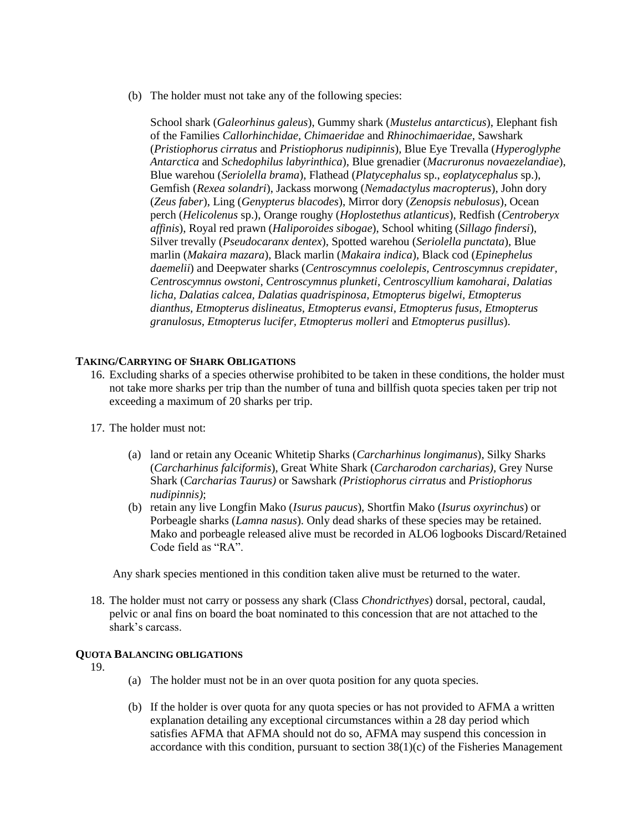(b) The holder must not take any of the following species:

School shark (*Galeorhinus galeus*), Gummy shark (*Mustelus antarcticus*), Elephant fish of the Families *Callorhinchidae, Chimaeridae* and *Rhinochimaeridae*, Sawshark (*Pristiophorus cirratus* and *Pristiophorus nudipinnis*), Blue Eye Trevalla (*Hyperoglyphe Antarctica* and *Schedophilus labyrinthica*), Blue grenadier (*Macruronus novaezelandiae*), Blue warehou (*Seriolella brama*), Flathead (*Platycephalus* sp., *eoplatycephalus* sp.), Gemfish (*Rexea solandri*), Jackass morwong (*Nemadactylus macropterus*), John dory (*Zeus faber*), Ling (*Genypterus blacodes*), Mirror dory (*Zenopsis nebulosus*), Ocean perch (*Helicolenus* sp.), Orange roughy (*Hoplostethus atlanticus*), Redfish (*Centroberyx affinis*), Royal red prawn (*Haliporoides sibogae*), School whiting (*Sillago findersi*), Silver trevally (*Pseudocaranx dentex*), Spotted warehou (*Seriolella punctata*), Blue marlin (*Makaira mazara*), Black marlin (*Makaira indica*), Black cod (*Epinephelus daemelii*) and Deepwater sharks (*Centroscymnus coelolepis, Centroscymnus crepidater, Centroscymnus owstoni, Centroscymnus plunketi, Centroscyllium kamoharai, Dalatias licha, Dalatias calcea, Dalatias quadrispinosa, Etmopterus bigelwi, Etmopterus dianthus, Etmopterus dislineatus, Etmopterus evansi, Etmopterus fusus, Etmopterus granulosus, Etmopterus lucifer, Etmopterus molleri* and *Etmopterus pusillus*).

## **TAKING/CARRYING OF SHARK OBLIGATIONS**

- 16. Excluding sharks of a species otherwise prohibited to be taken in these conditions, the holder must not take more sharks per trip than the number of tuna and billfish quota species taken per trip not exceeding a maximum of 20 sharks per trip.
- 17. The holder must not:
	- (a) land or retain any Oceanic Whitetip Sharks (*Carcharhinus longimanus*), Silky Sharks (*Carcharhinus falciformis*), Great White Shark (*Carcharodon carcharias),* Grey Nurse Shark (*Carcharias Taurus)* or Sawshark *(Pristiophorus cirratus* and *Pristiophorus nudipinnis)*;
	- (b) retain any live Longfin Mako (*Isurus paucus*), Shortfin Mako (*Isurus oxyrinchus*) or Porbeagle sharks (*Lamna nasus*). Only dead sharks of these species may be retained. Mako and porbeagle released alive must be recorded in ALO6 logbooks Discard/Retained Code field as "RA".

Any shark species mentioned in this condition taken alive must be returned to the water.

18. The holder must not carry or possess any shark (Class *Chondricthyes*) dorsal, pectoral, caudal, pelvic or anal fins on board the boat nominated to this concession that are not attached to the shark's carcass.

#### **QUOTA BALANCING OBLIGATIONS**

19.

- (a) The holder must not be in an over quota position for any quota species.
- (b) If the holder is over quota for any quota species or has not provided to AFMA a written explanation detailing any exceptional circumstances within a 28 day period which satisfies AFMA that AFMA should not do so, AFMA may suspend this concession in accordance with this condition, pursuant to section  $38(1)(c)$  of the Fisheries Management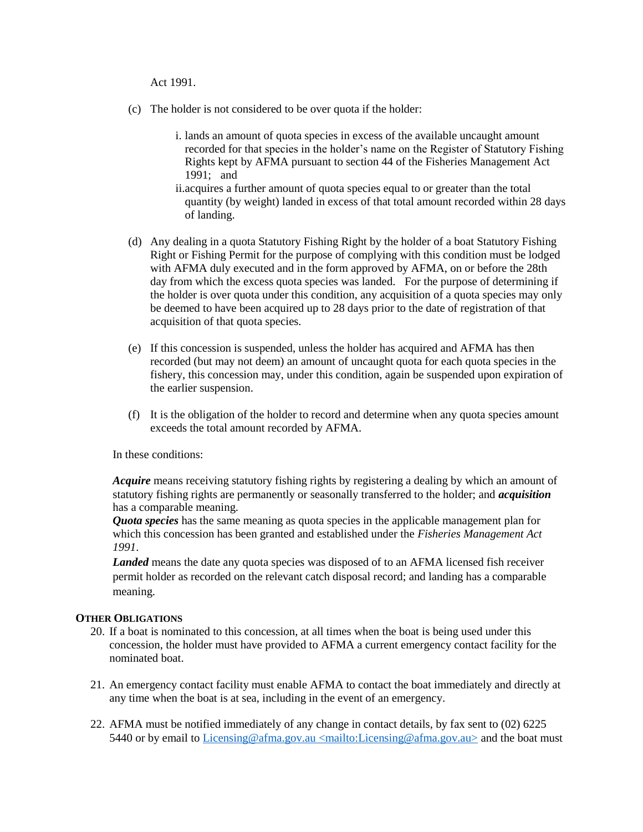Act 1991.

- (c) The holder is not considered to be over quota if the holder:
	- i. lands an amount of quota species in excess of the available uncaught amount recorded for that species in the holder's name on the Register of Statutory Fishing Rights kept by AFMA pursuant to section 44 of the Fisheries Management Act 1991; and
	- ii.acquires a further amount of quota species equal to or greater than the total quantity (by weight) landed in excess of that total amount recorded within 28 days of landing.
- (d) Any dealing in a quota Statutory Fishing Right by the holder of a boat Statutory Fishing Right or Fishing Permit for the purpose of complying with this condition must be lodged with AFMA duly executed and in the form approved by AFMA, on or before the 28th day from which the excess quota species was landed. For the purpose of determining if the holder is over quota under this condition, any acquisition of a quota species may only be deemed to have been acquired up to 28 days prior to the date of registration of that acquisition of that quota species.
- (e) If this concession is suspended, unless the holder has acquired and AFMA has then recorded (but may not deem) an amount of uncaught quota for each quota species in the fishery, this concession may, under this condition, again be suspended upon expiration of the earlier suspension.
- (f) It is the obligation of the holder to record and determine when any quota species amount exceeds the total amount recorded by AFMA.

In these conditions:

*Acquire* means receiving statutory fishing rights by registering a dealing by which an amount of statutory fishing rights are permanently or seasonally transferred to the holder; and *acquisition*  has a comparable meaning.

*Quota species* has the same meaning as quota species in the applicable management plan for which this concession has been granted and established under the *Fisheries Management Act 1991*.

*Landed* means the date any quota species was disposed of to an AFMA licensed fish receiver permit holder as recorded on the relevant catch disposal record; and landing has a comparable meaning.

### **OTHER OBLIGATIONS**

- 20. If a boat is nominated to this concession, at all times when the boat is being used under this concession, the holder must have provided to AFMA a current emergency contact facility for the nominated boat.
- 21. An emergency contact facility must enable AFMA to contact the boat immediately and directly at any time when the boat is at sea, including in the event of an emergency.
- 22. AFMA must be notified immediately of any change in contact details, by fax sent to (02) 6225 5440 or by email to Licensing@afma.gov.au <mailto:Licensing@afma.gov.au> and the boat must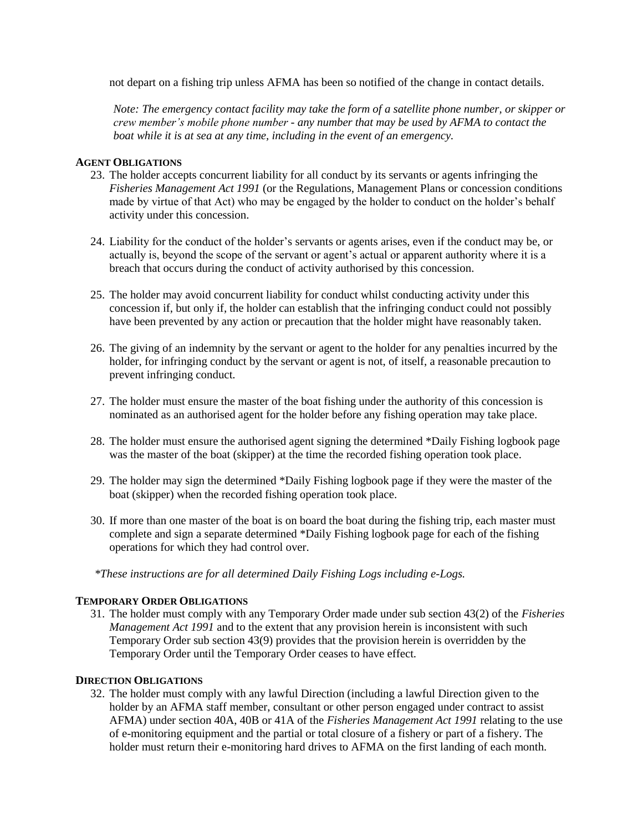not depart on a fishing trip unless AFMA has been so notified of the change in contact details.

*Note: The emergency contact facility may take the form of a satellite phone number, or skipper or crew member's mobile phone number - any number that may be used by AFMA to contact the boat while it is at sea at any time, including in the event of an emergency.* 

## **AGENT OBLIGATIONS**

- 23. The holder accepts concurrent liability for all conduct by its servants or agents infringing the *Fisheries Management Act 1991* (or the Regulations, Management Plans or concession conditions made by virtue of that Act) who may be engaged by the holder to conduct on the holder's behalf activity under this concession.
- 24. Liability for the conduct of the holder's servants or agents arises, even if the conduct may be, or actually is, beyond the scope of the servant or agent's actual or apparent authority where it is a breach that occurs during the conduct of activity authorised by this concession.
- 25. The holder may avoid concurrent liability for conduct whilst conducting activity under this concession if, but only if, the holder can establish that the infringing conduct could not possibly have been prevented by any action or precaution that the holder might have reasonably taken.
- 26. The giving of an indemnity by the servant or agent to the holder for any penalties incurred by the holder, for infringing conduct by the servant or agent is not, of itself, a reasonable precaution to prevent infringing conduct.
- 27. The holder must ensure the master of the boat fishing under the authority of this concession is nominated as an authorised agent for the holder before any fishing operation may take place.
- 28. The holder must ensure the authorised agent signing the determined \*Daily Fishing logbook page was the master of the boat (skipper) at the time the recorded fishing operation took place.
- 29. The holder may sign the determined \*Daily Fishing logbook page if they were the master of the boat (skipper) when the recorded fishing operation took place.
- 30. If more than one master of the boat is on board the boat during the fishing trip, each master must complete and sign a separate determined \*Daily Fishing logbook page for each of the fishing operations for which they had control over.

*\*These instructions are for all determined Daily Fishing Logs including e-Logs.*

## **TEMPORARY ORDER OBLIGATIONS**

31. The holder must comply with any Temporary Order made under sub section 43(2) of the *Fisheries Management Act 1991* and to the extent that any provision herein is inconsistent with such Temporary Order sub section 43(9) provides that the provision herein is overridden by the Temporary Order until the Temporary Order ceases to have effect*.*

### **DIRECTION OBLIGATIONS**

32. The holder must comply with any lawful Direction (including a lawful Direction given to the holder by an AFMA staff member, consultant or other person engaged under contract to assist AFMA) under section 40A, 40B or 41A of the *Fisheries Management Act 1991* relating to the use of e-monitoring equipment and the partial or total closure of a fishery or part of a fishery. The holder must return their e-monitoring hard drives to AFMA on the first landing of each month.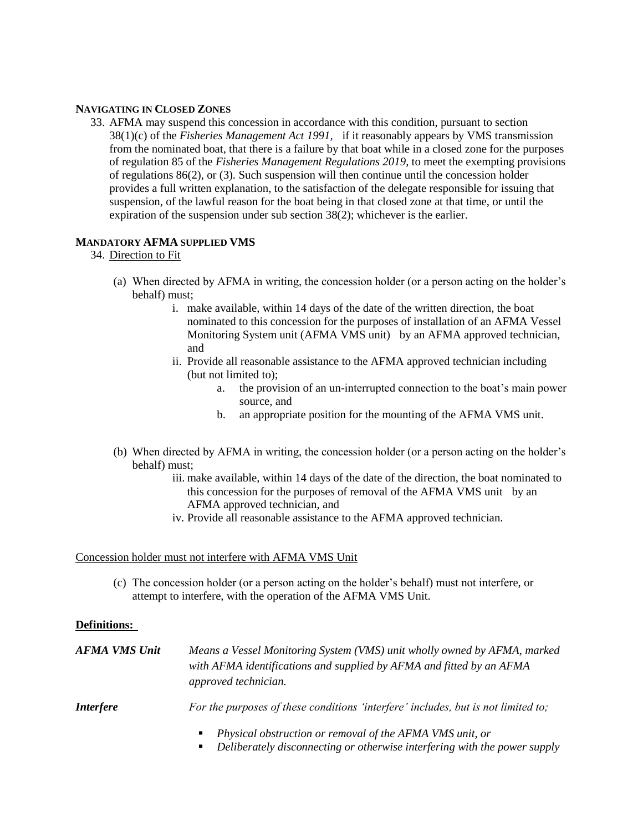## **NAVIGATING IN CLOSED ZONES**

33. AFMA may suspend this concession in accordance with this condition, pursuant to section 38(1)(c) of the *Fisheries Management Act 1991,* if it reasonably appears by VMS transmission from the nominated boat, that there is a failure by that boat while in a closed zone for the purposes of regulation 85 of the *Fisheries Management Regulations 2019*, to meet the exempting provisions of regulations 86(2), or (3)*.* Such suspension will then continue until the concession holder provides a full written explanation, to the satisfaction of the delegate responsible for issuing that suspension, of the lawful reason for the boat being in that closed zone at that time, or until the expiration of the suspension under sub section 38(2); whichever is the earlier.

## **MANDATORY AFMA SUPPLIED VMS**

## 34. Direction to Fit

- (a) When directed by AFMA in writing, the concession holder (or a person acting on the holder's behalf) must;
	- i. make available, within 14 days of the date of the written direction, the boat nominated to this concession for the purposes of installation of an AFMA Vessel Monitoring System unit (AFMA VMS unit) by an AFMA approved technician, and
	- ii. Provide all reasonable assistance to the AFMA approved technician including (but not limited to);
		- a. the provision of an un-interrupted connection to the boat's main power source, and
		- b. an appropriate position for the mounting of the AFMA VMS unit.
- (b) When directed by AFMA in writing, the concession holder (or a person acting on the holder's behalf) must;
	- iii. make available, within 14 days of the date of the direction, the boat nominated to this concession for the purposes of removal of the AFMA VMS unit by an AFMA approved technician, and
	- iv. Provide all reasonable assistance to the AFMA approved technician.

### Concession holder must not interfere with AFMA VMS Unit

(c) The concession holder (or a person acting on the holder's behalf) must not interfere, or attempt to interfere, with the operation of the AFMA VMS Unit.

### **Definitions:**

| AFMA VMS Unit    | Means a Vessel Monitoring System (VMS) unit wholly owned by AFMA, marked<br>with AFMA identifications and supplied by AFMA and fitted by an AFMA<br>approved technician. |
|------------------|--------------------------------------------------------------------------------------------------------------------------------------------------------------------------|
| <i>Interfere</i> | For the purposes of these conditions 'interfere' includes, but is not limited to;                                                                                        |
|                  | $\blacksquare$ Develope obstruction or new sual of the AEMA VMC unit on                                                                                                  |

- *Physical obstruction or removal of the AFMA VMS unit, or*
- *Deliberately disconnecting or otherwise interfering with the power supply*